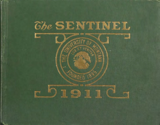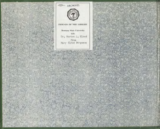

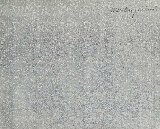Morton Jerdrod.

AND TAX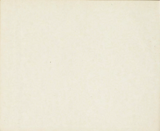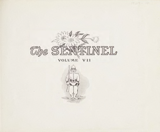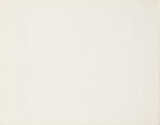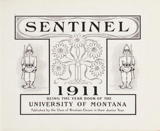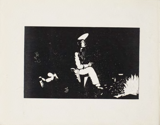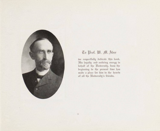

## To Prof. M. M. Aber

we respectfully dedicate this book. His loyalty and untiring energy in behalf of the Unifersity, from the beginning to the present time has made a place for him in the hearts of all the University's friends.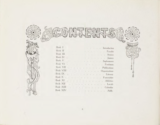| Book I.   | $\sim$                                                                                               | . Introduction                          |  |
|-----------|------------------------------------------------------------------------------------------------------|-----------------------------------------|--|
| Book II   |                                                                                                      | Faculty                                 |  |
| Book III  |                                                                                                      |                                         |  |
| Book IV   | <b>Example 20</b> Service Service Suniors                                                            |                                         |  |
| Book V.   | <b>Common Sophomores</b>                                                                             |                                         |  |
| Book VI   |                                                                                                      |                                         |  |
| Book VII  | . Publications                                                                                       |                                         |  |
| Beok VIII | and the second contractions of the Crganizations                                                     |                                         |  |
| Book IX   | e i viene e e e e e e e e Elterary                                                                   |                                         |  |
| Book X.   | residence and residence in the Fraternities                                                          |                                         |  |
| Book XI   | Athletics Athletics                                                                                  |                                         |  |
| Book XII  | 1 Locals<br>in.                                                                                      |                                         |  |
| Book XIII |                                                                                                      | r Calendar                              |  |
| Book XIV  | $\label{eq:2.1} \begin{array}{ccccccccccccc} \cdots & \cdots & \cdots & \cdots & \cdots \end{array}$ | $\cdot \cdot \cdot \cdot \cdot$ . Adds. |  |
|           |                                                                                                      |                                         |  |

 $\,6\,$ 

MARIEN

**Altr** 

 $\epsilon$ Ø

 $\overline{a}$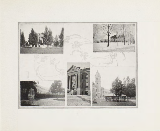

 $\overline{\tau}$